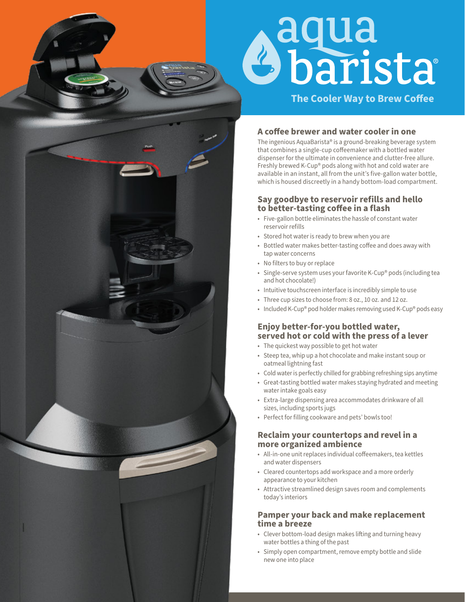# **Aqua<br>Sbarista**

**The Cooler Way to Brew Coffee** 

### A coffee brewer and water cooler in one

The ingenious AquaBarista® is a ground-breaking beverage system that combines a single-cup coffeemaker with a bottled water dispenser for the ultimate in convenience and clutter-free allure. Freshly brewed K-Cup® pods along with hot and cold water are available in an instant, all from the unit's five-gallon water bottle, which is housed discreetly in a handy bottom-load compartment.

### **Say goodbye to reservoir refills and hello**  to better-tasting coffee in a flash

- Five-gallon bottle eliminates the hassle of constant water reservoir refills
- Stored hot water is ready to brew when you are
- Bottled water makes better-tasting coffee and does away with tap water concerns
- No filters to buy or replace
- Single-serve system uses your favorite K-Cup® pods (including tea and hot chocolate!)
- Intuitive touchscreen interface is incredibly simple to use
- Three cup sizes to choose from: 8 oz., 10 oz. and 12 oz.
- Included K-Cup® pod holder makes removing used K-Cup® pods easy

### **Enjoy better-for-you bottled water, served hot or cold with the press of a lever**

- The quickest way possible to get hot water
- Steep tea, whip up a hot chocolate and make instant soup or oatmeal lightning fast
- Cold water is perfectly chilled for grabbing refreshing sips anytime
- Great-tasting bottled water makes staying hydrated and meeting water intake goals easy
- Extra-large dispensing area accommodates drinkware of all sizes, including sports jugs
- Perfect for filling cookware and pets' bowls too!

### **Reclaim your countertops and revel in a more organized ambience**

- All-in-one unit replaces individual coffeemakers, tea kettles and water dispensers
- Cleared countertops add workspace and a more orderly appearance to your kitchen
- Attractive streamlined design saves room and complements today's interiors

### **Pamper your back and make replacement time a breeze**

- Clever bottom-load design makes lifting and turning heavy water bottles a thing of the past
- Simply open compartment, remove empty bottle and slide new one into place